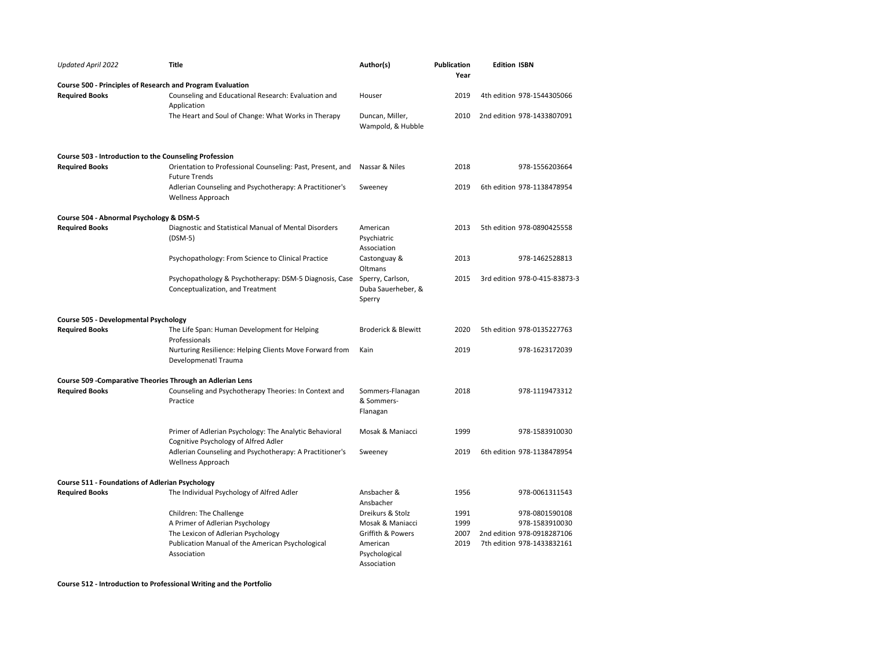| Updated April 2022                                     | <b>Title</b>                                                                                   | Author(s)                                        | <b>Publication</b><br>Year | <b>Edition ISBN</b>           |
|--------------------------------------------------------|------------------------------------------------------------------------------------------------|--------------------------------------------------|----------------------------|-------------------------------|
|                                                        | Course 500 - Principles of Research and Program Evaluation                                     |                                                  |                            |                               |
| <b>Required Books</b>                                  | Counseling and Educational Research: Evaluation and<br>Application                             | Houser                                           | 2019                       | 4th edition 978-1544305066    |
|                                                        | The Heart and Soul of Change: What Works in Therapy                                            | Duncan, Miller,<br>Wampold, & Hubble             | 2010                       | 2nd edition 978-1433807091    |
| Course 503 - Introduction to the Counseling Profession |                                                                                                |                                                  |                            |                               |
| <b>Required Books</b>                                  | Orientation to Professional Counseling: Past, Present, and<br><b>Future Trends</b>             | Nassar & Niles                                   | 2018                       | 978-1556203664                |
|                                                        | Adlerian Counseling and Psychotherapy: A Practitioner's<br><b>Wellness Approach</b>            | Sweeney                                          | 2019                       | 6th edition 978-1138478954    |
| Course 504 - Abnormal Psychology & DSM-5               |                                                                                                |                                                  |                            |                               |
| <b>Required Books</b>                                  | Diagnostic and Statistical Manual of Mental Disorders<br>$(DSM-5)$                             | American<br>Psychiatric<br>Association           | 2013                       | 5th edition 978-0890425558    |
|                                                        | Psychopathology: From Science to Clinical Practice                                             | Castonguay &<br>Oltmans                          | 2013                       | 978-1462528813                |
|                                                        | Psychopathology & Psychotherapy: DSM-5 Diagnosis, Case<br>Conceptualization, and Treatment     | Sperry, Carlson,<br>Duba Sauerheber, &<br>Sperry | 2015                       | 3rd edition 978-0-415-83873-3 |
| Course 505 - Developmental Psychology                  |                                                                                                |                                                  |                            |                               |
| <b>Required Books</b>                                  | The Life Span: Human Development for Helping<br>Professionals                                  | <b>Broderick &amp; Blewitt</b>                   | 2020                       | 5th edition 978-0135227763    |
|                                                        | Nurturing Resilience: Helping Clients Move Forward from<br>Developmenatl Trauma                | Kain                                             | 2019                       | 978-1623172039                |
|                                                        | Course 509 - Comparative Theories Through an Adlerian Lens                                     |                                                  |                            |                               |
| <b>Required Books</b>                                  | Counseling and Psychotherapy Theories: In Context and<br>Practice                              | Sommers-Flanagan<br>& Sommers-<br>Flanagan       | 2018                       | 978-1119473312                |
|                                                        | Primer of Adlerian Psychology: The Analytic Behavioral<br>Cognitive Psychology of Alfred Adler | Mosak & Maniacci                                 | 1999                       | 978-1583910030                |
|                                                        | Adlerian Counseling and Psychotherapy: A Practitioner's<br>Wellness Approach                   | Sweeney                                          | 2019                       | 6th edition 978-1138478954    |
| <b>Course 511 - Foundations of Adlerian Psychology</b> |                                                                                                |                                                  |                            |                               |
| <b>Required Books</b>                                  | The Individual Psychology of Alfred Adler                                                      | Ansbacher &<br>Ansbacher                         | 1956                       | 978-0061311543                |
|                                                        | Children: The Challenge                                                                        | Dreikurs & Stolz                                 | 1991                       | 978-0801590108                |
|                                                        | A Primer of Adlerian Psychology                                                                | Mosak & Maniacci                                 | 1999                       | 978-1583910030                |
|                                                        | The Lexicon of Adlerian Psychology                                                             | Griffith & Powers                                | 2007                       | 2nd edition 978-0918287106    |
|                                                        | Publication Manual of the American Psychological<br>Association                                | American<br>Psychological<br>Association         | 2019                       | 7th edition 978-1433832161    |

**Course 512 - Introduction to Professional Writing and the Portfolio**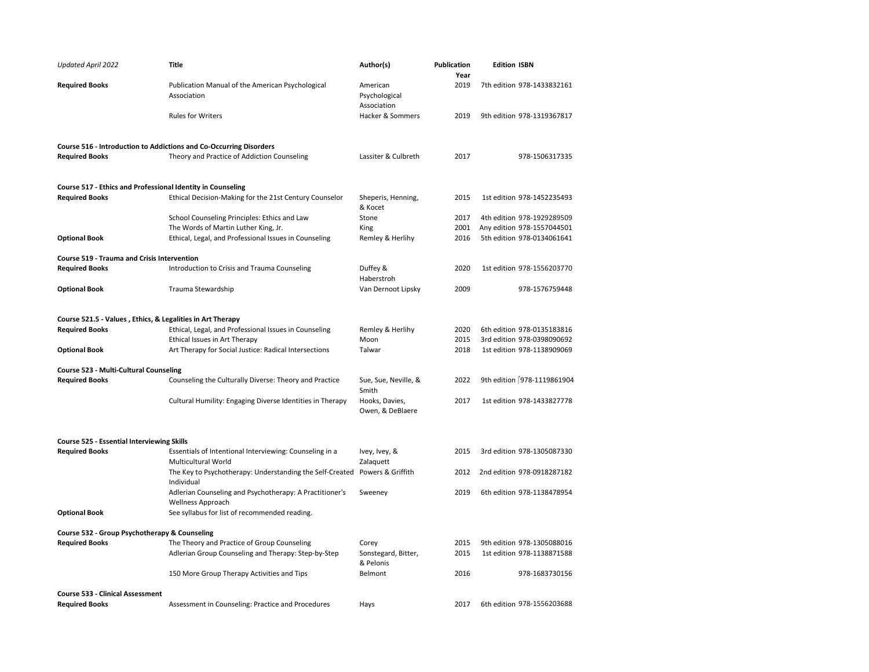| <b>Updated April 2022</b>                                   | <b>Title</b>                                                                   | Author(s)                                | <b>Publication</b><br>Year | <b>Edition ISBN</b>         |
|-------------------------------------------------------------|--------------------------------------------------------------------------------|------------------------------------------|----------------------------|-----------------------------|
| <b>Required Books</b>                                       | Publication Manual of the American Psychological<br>Association                | American<br>Psychological<br>Association | 2019                       | 7th edition 978-1433832161  |
|                                                             | <b>Rules for Writers</b>                                                       | Hacker & Sommers                         | 2019                       | 9th edition 978-1319367817  |
|                                                             | Course 516 - Introduction to Addictions and Co-Occurring Disorders             |                                          |                            |                             |
| <b>Required Books</b>                                       | Theory and Practice of Addiction Counseling                                    | Lassiter & Culbreth                      | 2017                       | 978-1506317335              |
| Course 517 - Ethics and Professional Identity in Counseling |                                                                                |                                          |                            |                             |
| <b>Required Books</b>                                       | Ethical Decision-Making for the 21st Century Counselor                         | Sheperis, Henning,<br>& Kocet            | 2015                       | 1st edition 978-1452235493  |
|                                                             | School Counseling Principles: Ethics and Law                                   | Stone                                    | 2017                       | 4th edition 978-1929289509  |
|                                                             | The Words of Martin Luther King, Jr.                                           | King                                     | 2001                       | Any edition 978-1557044501  |
| <b>Optional Book</b>                                        | Ethical, Legal, and Professional Issues in Counseling                          | Remley & Herlihy                         | 2016                       | 5th edition 978-0134061641  |
| Course 519 - Trauma and Crisis Intervention                 |                                                                                |                                          |                            |                             |
| <b>Required Books</b>                                       | Introduction to Crisis and Trauma Counseling                                   | Duffey &<br>Haberstroh                   | 2020                       | 1st edition 978-1556203770  |
| <b>Optional Book</b>                                        | Trauma Stewardship                                                             | Van Dernoot Lipsky                       | 2009                       | 978-1576759448              |
| Course 521.5 - Values, Ethics, & Legalities in Art Therapy  |                                                                                |                                          |                            |                             |
| <b>Required Books</b>                                       | Ethical, Legal, and Professional Issues in Counseling                          | Remley & Herlihy                         | 2020                       | 6th edition 978-0135183816  |
|                                                             | Ethical Issues in Art Therapy                                                  | Moon                                     | 2015                       | 3rd edition 978-0398090692  |
| <b>Optional Book</b>                                        | Art Therapy for Social Justice: Radical Intersections                          | Talwar                                   | 2018                       | 1st edition 978-1138909069  |
| Course 523 - Multi-Cultural Counseling                      |                                                                                |                                          |                            |                             |
| <b>Required Books</b>                                       | Counseling the Culturally Diverse: Theory and Practice                         | Sue, Sue, Neville, &<br>Smith            | 2022                       | 9th edition [978-1119861904 |
|                                                             | Cultural Humility: Engaging Diverse Identities in Therapy                      | Hooks, Davies,<br>Owen, & DeBlaere       | 2017                       | 1st edition 978-1433827778  |
| <b>Course 525 - Essential Interviewing Skills</b>           |                                                                                |                                          |                            |                             |
| <b>Required Books</b>                                       | Essentials of Intentional Interviewing: Counseling in a<br>Multicultural World | Ivey, Ivey, &<br>Zalaquett               | 2015                       | 3rd edition 978-1305087330  |
|                                                             | The Key to Psychotherapy: Understanding the Self-Created<br>Individual         | Powers & Griffith                        | 2012                       | 2nd edition 978-0918287182  |
|                                                             | Adlerian Counseling and Psychotherapy: A Practitioner's<br>Wellness Approach   | Sweeney                                  | 2019                       | 6th edition 978-1138478954  |
| <b>Optional Book</b>                                        | See syllabus for list of recommended reading.                                  |                                          |                            |                             |
| Course 532 - Group Psychotherapy & Counseling               |                                                                                |                                          |                            |                             |
| <b>Required Books</b>                                       | The Theory and Practice of Group Counseling                                    | Corey                                    | 2015                       | 9th edition 978-1305088016  |
|                                                             | Adlerian Group Counseling and Therapy: Step-by-Step                            | Sonstegard, Bitter,<br>& Pelonis         | 2015                       | 1st edition 978-1138871588  |
|                                                             | 150 More Group Therapy Activities and Tips                                     | Belmont                                  | 2016                       | 978-1683730156              |
| <b>Course 533 - Clinical Assessment</b>                     |                                                                                |                                          |                            |                             |
| <b>Required Books</b>                                       | Assessment in Counseling: Practice and Procedures                              | Hays                                     | 2017                       | 6th edition 978-1556203688  |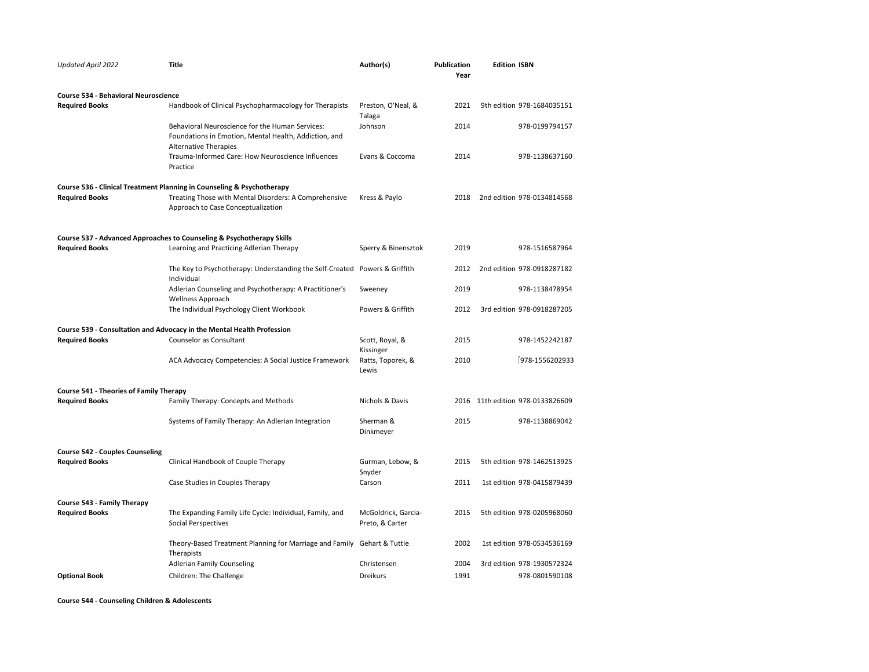| <b>Updated April 2022</b>                      | <b>Title</b>                                                                                                                             | Author(s)                              | <b>Publication</b><br>Year | <b>Edition ISBN</b>              |
|------------------------------------------------|------------------------------------------------------------------------------------------------------------------------------------------|----------------------------------------|----------------------------|----------------------------------|
| <b>Course 534 - Behavioral Neuroscience</b>    |                                                                                                                                          |                                        |                            |                                  |
| <b>Required Books</b>                          | Handbook of Clinical Psychopharmacology for Therapists                                                                                   | Preston, O'Neal, &<br>Talaga           | 2021                       | 9th edition 978-1684035151       |
|                                                | Behavioral Neuroscience for the Human Services:<br>Foundations in Emotion, Mental Health, Addiction, and<br><b>Alternative Therapies</b> | Johnson                                | 2014                       | 978-0199794157                   |
|                                                | Trauma-Informed Care: How Neuroscience Influences<br>Practice                                                                            | Evans & Coccoma                        | 2014                       | 978-1138637160                   |
|                                                | Course 536 - Clinical Treatment Planning in Counseling & Psychotherapy                                                                   |                                        |                            |                                  |
| <b>Required Books</b>                          | Treating Those with Mental Disorders: A Comprehensive<br>Approach to Case Conceptualization                                              | Kress & Paylo                          | 2018                       | 2nd edition 978-0134814568       |
|                                                | Course 537 - Advanced Approaches to Counseling & Psychotherapy Skills                                                                    |                                        |                            |                                  |
| <b>Required Books</b>                          | Learning and Practicing Adlerian Therapy                                                                                                 | Sperry & Binensztok                    | 2019                       | 978-1516587964                   |
|                                                | The Key to Psychotherapy: Understanding the Self-Created Powers & Griffith<br>Individual                                                 |                                        | 2012                       | 2nd edition 978-0918287182       |
|                                                | Adlerian Counseling and Psychotherapy: A Practitioner's                                                                                  | Sweeney                                | 2019                       | 978-1138478954                   |
|                                                | <b>Wellness Approach</b><br>The Individual Psychology Client Workbook                                                                    | Powers & Griffith                      | 2012                       | 3rd edition 978-0918287205       |
|                                                | Course 539 - Consultation and Advocacy in the Mental Health Profession                                                                   |                                        |                            |                                  |
| <b>Required Books</b>                          | Counselor as Consultant                                                                                                                  | Scott, Royal, &<br>Kissinger           | 2015                       | 978-1452242187                   |
|                                                | ACA Advocacy Competencies: A Social Justice Framework                                                                                    | Ratts, Toporek, &<br>Lewis             | 2010                       | $[978 - 1556202933]$             |
| <b>Course 541 - Theories of Family Therapy</b> |                                                                                                                                          |                                        |                            |                                  |
| <b>Required Books</b>                          | Family Therapy: Concepts and Methods                                                                                                     | Nichols & Davis                        |                            | 2016 11th edition 978-0133826609 |
|                                                | Systems of Family Therapy: An Adlerian Integration                                                                                       | Sherman &<br>Dinkmeyer                 | 2015                       | 978-1138869042                   |
| <b>Course 542 - Couples Counseling</b>         |                                                                                                                                          |                                        |                            |                                  |
| <b>Required Books</b>                          | Clinical Handbook of Couple Therapy                                                                                                      | Gurman, Lebow, &<br>Snyder             | 2015                       | 5th edition 978-1462513925       |
|                                                | Case Studies in Couples Therapy                                                                                                          | Carson                                 | 2011                       | 1st edition 978-0415879439       |
| Course 543 - Family Therapy                    |                                                                                                                                          |                                        |                            |                                  |
| <b>Required Books</b>                          | The Expanding Family Life Cycle: Individual, Family, and<br>Social Perspectives                                                          | McGoldrick, Garcia-<br>Preto, & Carter | 2015                       | 5th edition 978-0205968060       |
|                                                | Theory-Based Treatment Planning for Marriage and Family Gehart & Tuttle<br>Therapists                                                    |                                        | 2002                       | 1st edition 978-0534536169       |
|                                                | <b>Adlerian Family Counseling</b>                                                                                                        | Christensen                            | 2004                       | 3rd edition 978-1930572324       |
| <b>Optional Book</b>                           | Children: The Challenge                                                                                                                  | <b>Dreikurs</b>                        | 1991                       | 978-0801590108                   |

**Course 544 - Counseling Children & Adolescents**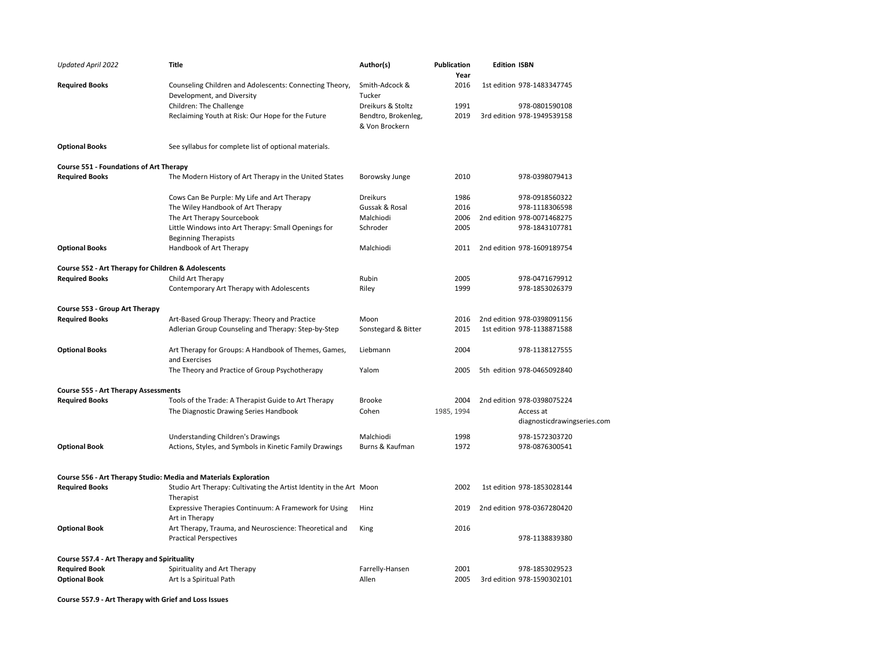| Updated April 2022                                               | Title                                                                                   | Author(s)                                                  | <b>Publication</b><br>Year | <b>Edition ISBN</b>                          |
|------------------------------------------------------------------|-----------------------------------------------------------------------------------------|------------------------------------------------------------|----------------------------|----------------------------------------------|
| <b>Required Books</b>                                            | Counseling Children and Adolescents: Connecting Theory,<br>Development, and Diversity   | Smith-Adcock &<br>Tucker                                   | 2016                       | 1st edition 978-1483347745                   |
|                                                                  | Children: The Challenge<br>Reclaiming Youth at Risk: Our Hope for the Future            | Dreikurs & Stoltz<br>Bendtro, Brokenleg,<br>& Von Brockern | 1991<br>2019               | 978-0801590108<br>3rd edition 978-1949539158 |
| <b>Optional Books</b>                                            | See syllabus for complete list of optional materials.                                   |                                                            |                            |                                              |
| <b>Course 551 - Foundations of Art Therapy</b>                   |                                                                                         |                                                            |                            |                                              |
| <b>Required Books</b>                                            | The Modern History of Art Therapy in the United States                                  | Borowsky Junge                                             | 2010                       | 978-0398079413                               |
|                                                                  | Cows Can Be Purple: My Life and Art Therapy                                             | Dreikurs                                                   | 1986                       | 978-0918560322                               |
|                                                                  | The Wiley Handbook of Art Therapy                                                       | Gussak & Rosal                                             | 2016                       | 978-1118306598                               |
|                                                                  | The Art Therapy Sourcebook                                                              | Malchiodi                                                  | 2006                       | 2nd edition 978-0071468275                   |
|                                                                  | Little Windows into Art Therapy: Small Openings for<br><b>Beginning Therapists</b>      | Schroder                                                   | 2005                       | 978-1843107781                               |
| <b>Optional Books</b>                                            | Handbook of Art Therapy                                                                 | Malchiodi                                                  | 2011                       | 2nd edition 978-1609189754                   |
| Course 552 - Art Therapy for Children & Adolescents              |                                                                                         |                                                            |                            |                                              |
| <b>Required Books</b>                                            | Child Art Therapy                                                                       | Rubin                                                      | 2005                       | 978-0471679912                               |
|                                                                  | Contemporary Art Therapy with Adolescents                                               | Riley                                                      | 1999                       | 978-1853026379                               |
| Course 553 - Group Art Therapy                                   |                                                                                         |                                                            |                            |                                              |
| <b>Required Books</b>                                            | Art-Based Group Therapy: Theory and Practice                                            | Moon                                                       | 2016                       | 2nd edition 978-0398091156                   |
|                                                                  | Adlerian Group Counseling and Therapy: Step-by-Step                                     | Sonstegard & Bitter                                        | 2015                       | 1st edition 978-1138871588                   |
| <b>Optional Books</b>                                            | Art Therapy for Groups: A Handbook of Themes, Games,<br>and Exercises                   | Liebmann                                                   | 2004                       | 978-1138127555                               |
|                                                                  | The Theory and Practice of Group Psychotherapy                                          | Yalom                                                      | 2005                       | 5th edition 978-0465092840                   |
| <b>Course 555 - Art Therapy Assessments</b>                      |                                                                                         |                                                            |                            |                                              |
| <b>Required Books</b>                                            | Tools of the Trade: A Therapist Guide to Art Therapy                                    | <b>Brooke</b>                                              | 2004                       | 2nd edition 978-0398075224                   |
|                                                                  | The Diagnostic Drawing Series Handbook                                                  | Cohen                                                      | 1985, 1994                 | Access at<br>diagnosticdrawingseries.com     |
|                                                                  | Understanding Children's Drawings                                                       | Malchiodi                                                  | 1998                       | 978-1572303720                               |
| <b>Optional Book</b>                                             | Actions, Styles, and Symbols in Kinetic Family Drawings                                 | Burns & Kaufman                                            | 1972                       | 978-0876300541                               |
| Course 556 - Art Therapy Studio: Media and Materials Exploration |                                                                                         |                                                            |                            |                                              |
| <b>Required Books</b>                                            | Studio Art Therapy: Cultivating the Artist Identity in the Art Moon<br>Therapist        |                                                            | 2002                       | 1st edition 978-1853028144                   |
|                                                                  | Expressive Therapies Continuum: A Framework for Using<br>Art in Therapy                 | Hinz                                                       | 2019                       | 2nd edition 978-0367280420                   |
| <b>Optional Book</b>                                             | Art Therapy, Trauma, and Neuroscience: Theoretical and<br><b>Practical Perspectives</b> | King                                                       | 2016                       | 978-1138839380                               |
| Course 557.4 - Art Therapy and Spirituality                      |                                                                                         |                                                            |                            |                                              |
| <b>Required Book</b><br><b>Optional Book</b>                     | Spirituality and Art Therapy<br>Art Is a Spiritual Path                                 | Farrelly-Hansen<br>Allen                                   | 2001<br>2005               | 978-1853029523<br>3rd edition 978-1590302101 |
|                                                                  |                                                                                         |                                                            |                            |                                              |

**Course 557.9 - Art Therapy with Grief and Loss Issues**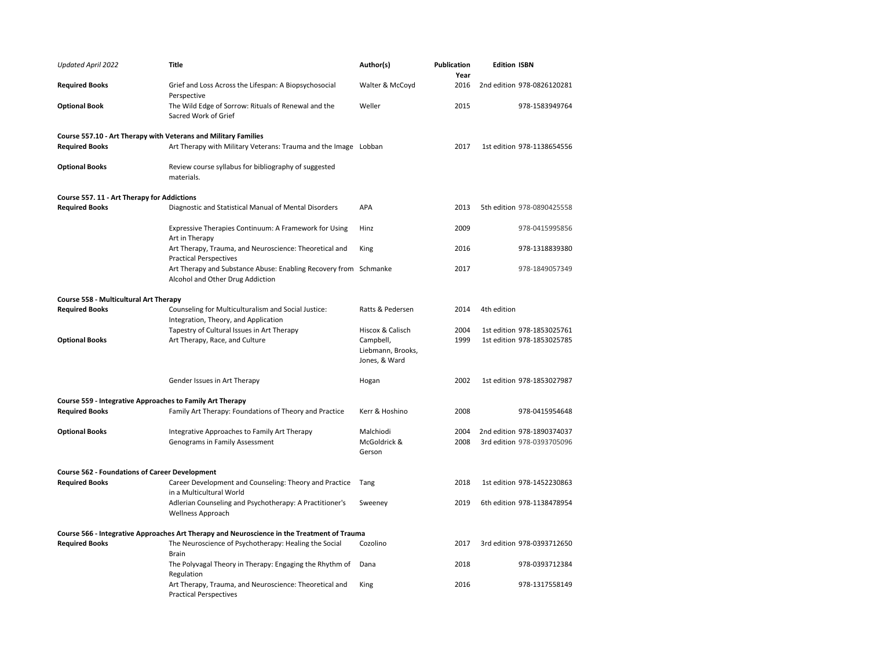| <b>Updated April 2022</b>                                       | Title                                                                                                | Author(s)                                       | <b>Publication</b><br>Year | <b>Edition ISBN</b>                                      |
|-----------------------------------------------------------------|------------------------------------------------------------------------------------------------------|-------------------------------------------------|----------------------------|----------------------------------------------------------|
| <b>Required Books</b>                                           | Grief and Loss Across the Lifespan: A Biopsychosocial<br>Perspective                                 | Walter & McCoyd                                 | 2016                       | 2nd edition 978-0826120281                               |
| <b>Optional Book</b>                                            | The Wild Edge of Sorrow: Rituals of Renewal and the<br>Sacred Work of Grief                          | Weller                                          | 2015                       | 978-1583949764                                           |
| Course 557.10 - Art Therapy with Veterans and Military Families |                                                                                                      |                                                 |                            |                                                          |
| <b>Required Books</b>                                           | Art Therapy with Military Veterans: Trauma and the Image Lobban                                      |                                                 | 2017                       | 1st edition 978-1138654556                               |
| <b>Optional Books</b>                                           | Review course syllabus for bibliography of suggested<br>materials.                                   |                                                 |                            |                                                          |
| Course 557. 11 - Art Therapy for Addictions                     |                                                                                                      |                                                 |                            |                                                          |
| <b>Required Books</b>                                           | Diagnostic and Statistical Manual of Mental Disorders                                                | APA                                             | 2013                       | 5th edition 978-0890425558                               |
|                                                                 | Expressive Therapies Continuum: A Framework for Using<br>Art in Therapy                              | Hinz                                            | 2009                       | 978-0415995856                                           |
|                                                                 | Art Therapy, Trauma, and Neuroscience: Theoretical and<br><b>Practical Perspectives</b>              | King                                            | 2016                       | 978-1318839380                                           |
|                                                                 | Art Therapy and Substance Abuse: Enabling Recovery from Schmanke<br>Alcohol and Other Drug Addiction |                                                 | 2017                       | 978-1849057349                                           |
| Course 558 - Multicultural Art Therapy                          |                                                                                                      |                                                 |                            |                                                          |
| <b>Required Books</b>                                           | Counseling for Multiculturalism and Social Justice:<br>Integration, Theory, and Application          | Ratts & Pedersen                                | 2014                       | 4th edition                                              |
|                                                                 | Tapestry of Cultural Issues in Art Therapy                                                           | Hiscox & Calisch                                | 2004                       | 1st edition 978-1853025761                               |
| <b>Optional Books</b>                                           | Art Therapy, Race, and Culture                                                                       | Campbell,<br>Liebmann, Brooks,<br>Jones, & Ward | 1999                       | 1st edition 978-1853025785                               |
|                                                                 | Gender Issues in Art Therapy                                                                         | Hogan                                           | 2002                       | 1st edition 978-1853027987                               |
| Course 559 - Integrative Approaches to Family Art Therapy       |                                                                                                      |                                                 |                            |                                                          |
| <b>Required Books</b>                                           | Family Art Therapy: Foundations of Theory and Practice                                               | Kerr & Hoshino                                  | 2008                       | 978-0415954648                                           |
| <b>Optional Books</b>                                           | Integrative Approaches to Family Art Therapy<br>Genograms in Family Assessment                       | Malchiodi<br>McGoldrick &<br>Gerson             | 2004<br>2008               | 2nd edition 978-1890374037<br>3rd edition 978-0393705096 |
| <b>Course 562 - Foundations of Career Development</b>           |                                                                                                      |                                                 |                            |                                                          |
| <b>Required Books</b>                                           | Career Development and Counseling: Theory and Practice<br>in a Multicultural World                   | Tang                                            | 2018                       | 1st edition 978-1452230863                               |
|                                                                 | Adlerian Counseling and Psychotherapy: A Practitioner's<br>Wellness Approach                         | Sweeney                                         | 2019                       | 6th edition 978-1138478954                               |
|                                                                 | Course 566 - Integrative Approaches Art Therapy and Neuroscience in the Treatment of Trauma          |                                                 |                            |                                                          |
| <b>Required Books</b>                                           | The Neuroscience of Psychotherapy: Healing the Social<br><b>Brain</b>                                | Cozolino                                        | 2017                       | 3rd edition 978-0393712650                               |
|                                                                 | The Polyvagal Theory in Therapy: Engaging the Rhythm of<br>Regulation                                | Dana                                            | 2018                       | 978-0393712384                                           |
|                                                                 | Art Therapy, Trauma, and Neuroscience: Theoretical and<br><b>Practical Perspectives</b>              | King                                            | 2016                       | 978-1317558149                                           |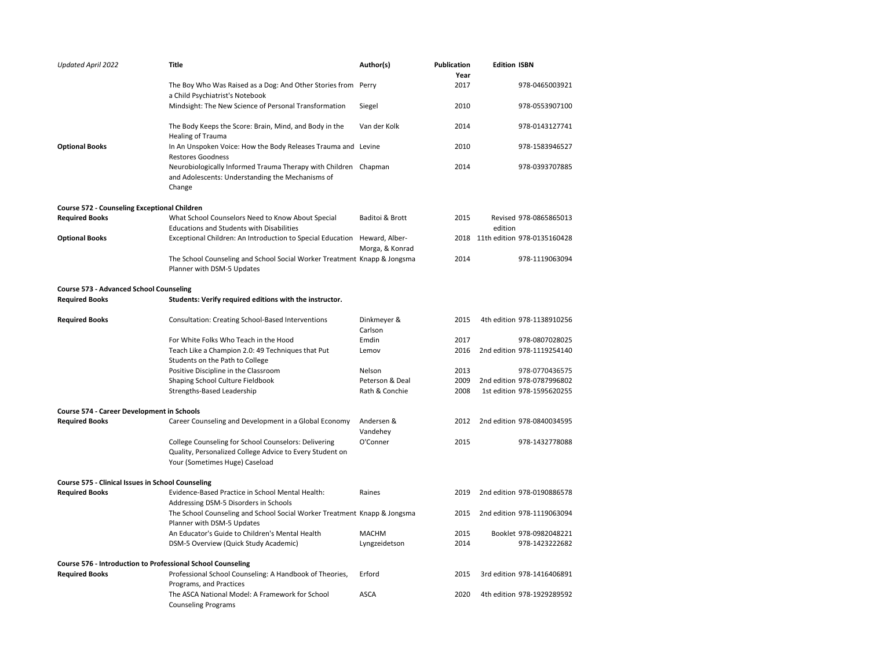| <b>Updated April 2022</b>                                   | <b>Title</b>                                                                                                                                       | Author(s)                         | <b>Publication</b><br>Year | <b>Edition ISBN</b>              |
|-------------------------------------------------------------|----------------------------------------------------------------------------------------------------------------------------------------------------|-----------------------------------|----------------------------|----------------------------------|
|                                                             | The Boy Who Was Raised as a Dog: And Other Stories from Perry<br>a Child Psychiatrist's Notebook                                                   |                                   | 2017                       | 978-0465003921                   |
|                                                             | Mindsight: The New Science of Personal Transformation                                                                                              | Siegel                            | 2010                       | 978-0553907100                   |
|                                                             | The Body Keeps the Score: Brain, Mind, and Body in the<br><b>Healing of Trauma</b>                                                                 | Van der Kolk                      | 2014                       | 978-0143127741                   |
| <b>Optional Books</b>                                       | In An Unspoken Voice: How the Body Releases Trauma and Levine<br><b>Restores Goodness</b>                                                          |                                   | 2010                       | 978-1583946527                   |
|                                                             | Neurobiologically Informed Trauma Therapy with Children Chapman<br>and Adolescents: Understanding the Mechanisms of<br>Change                      |                                   | 2014                       | 978-0393707885                   |
| <b>Course 572 - Counseling Exceptional Children</b>         |                                                                                                                                                    |                                   |                            |                                  |
| <b>Required Books</b>                                       | What School Counselors Need to Know About Special                                                                                                  | Baditoi & Brott                   | 2015                       | Revised 978-0865865013           |
|                                                             | <b>Educations and Students with Disabilities</b>                                                                                                   |                                   |                            | edition                          |
| <b>Optional Books</b>                                       | Exceptional Children: An Introduction to Special Education                                                                                         | Heward, Alber-<br>Morga, & Konrad |                            | 2018 11th edition 978-0135160428 |
|                                                             | The School Counseling and School Social Worker Treatment Knapp & Jongsma<br>Planner with DSM-5 Updates                                             |                                   | 2014                       | 978-1119063094                   |
| <b>Course 573 - Advanced School Counseling</b>              |                                                                                                                                                    |                                   |                            |                                  |
| <b>Required Books</b>                                       | Students: Verify required editions with the instructor.                                                                                            |                                   |                            |                                  |
| <b>Required Books</b>                                       | Consultation: Creating School-Based Interventions                                                                                                  | Dinkmeyer &<br>Carlson            | 2015                       | 4th edition 978-1138910256       |
|                                                             | For White Folks Who Teach in the Hood                                                                                                              | Emdin                             | 2017                       | 978-0807028025                   |
|                                                             | Teach Like a Champion 2.0: 49 Techniques that Put<br>Students on the Path to College                                                               | Lemov                             | 2016                       | 2nd edition 978-1119254140       |
|                                                             | Positive Discipline in the Classroom                                                                                                               | Nelson                            | 2013                       | 978-0770436575                   |
|                                                             | Shaping School Culture Fieldbook                                                                                                                   | Peterson & Deal                   | 2009                       | 2nd edition 978-0787996802       |
|                                                             | Strengths-Based Leadership                                                                                                                         | Rath & Conchie                    | 2008                       | 1st edition 978-1595620255       |
| Course 574 - Career Development in Schools                  |                                                                                                                                                    |                                   |                            |                                  |
| <b>Required Books</b>                                       | Career Counseling and Development in a Global Economy                                                                                              | Andersen &<br>Vandehey            | 2012                       | 2nd edition 978-0840034595       |
|                                                             | College Counseling for School Counselors: Delivering<br>Quality, Personalized College Advice to Every Student on<br>Your (Sometimes Huge) Caseload | O'Conner                          | 2015                       | 978-1432778088                   |
| Course 575 - Clinical Issues in School Counseling           |                                                                                                                                                    |                                   |                            |                                  |
| <b>Required Books</b>                                       | Evidence-Based Practice in School Mental Health:<br>Addressing DSM-5 Disorders in Schools                                                          | Raines                            | 2019                       | 2nd edition 978-0190886578       |
|                                                             | The School Counseling and School Social Worker Treatment Knapp & Jongsma<br>Planner with DSM-5 Updates                                             |                                   | 2015                       | 2nd edition 978-1119063094       |
|                                                             | An Educator's Guide to Children's Mental Health                                                                                                    | <b>MACHM</b>                      | 2015                       | Booklet 978-0982048221           |
|                                                             | DSM-5 Overview (Quick Study Academic)                                                                                                              | Lyngzeidetson                     | 2014                       | 978-1423222682                   |
| Course 576 - Introduction to Professional School Counseling |                                                                                                                                                    |                                   |                            |                                  |
| <b>Required Books</b>                                       | Professional School Counseling: A Handbook of Theories,<br>Programs, and Practices                                                                 | Erford                            | 2015                       | 3rd edition 978-1416406891       |
|                                                             | The ASCA National Model: A Framework for School<br><b>Counseling Programs</b>                                                                      | <b>ASCA</b>                       | 2020                       | 4th edition 978-1929289592       |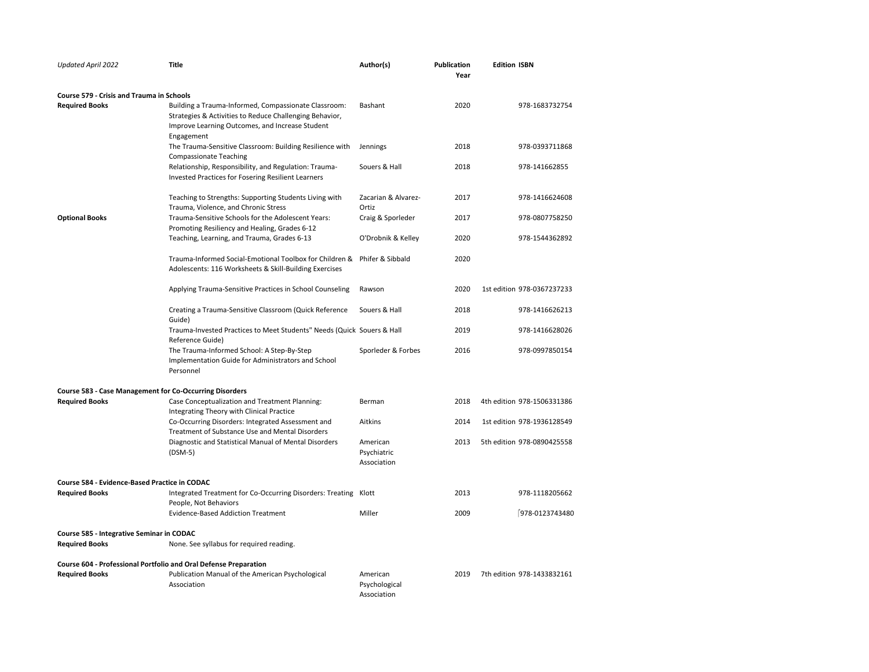| <b>Updated April 2022</b>                                        | <b>Title</b>                                                                                                                                                                     | Author(s)                                | <b>Publication</b><br>Year | <b>Edition ISBN</b>        |
|------------------------------------------------------------------|----------------------------------------------------------------------------------------------------------------------------------------------------------------------------------|------------------------------------------|----------------------------|----------------------------|
| <b>Course 579 - Crisis and Trauma in Schools</b>                 |                                                                                                                                                                                  |                                          |                            |                            |
| <b>Required Books</b>                                            | Building a Trauma-Informed, Compassionate Classroom:<br>Strategies & Activities to Reduce Challenging Behavior,<br>Improve Learning Outcomes, and Increase Student<br>Engagement | Bashant                                  | 2020                       | 978-1683732754             |
|                                                                  | The Trauma-Sensitive Classroom: Building Resilience with<br><b>Compassionate Teaching</b>                                                                                        | Jennings                                 | 2018                       | 978-0393711868             |
|                                                                  | Relationship, Responsibility, and Regulation: Trauma-<br>Invested Practices for Fosering Resilient Learners                                                                      | Souers & Hall                            | 2018                       | 978-141662855              |
|                                                                  | Teaching to Strengths: Supporting Students Living with<br>Trauma, Violence, and Chronic Stress                                                                                   | Zacarian & Alvarez-<br>Ortiz             | 2017                       | 978-1416624608             |
| <b>Optional Books</b>                                            | Trauma-Sensitive Schools for the Adolescent Years:<br>Promoting Resiliency and Healing, Grades 6-12                                                                              | Craig & Sporleder                        | 2017                       | 978-0807758250             |
|                                                                  | Teaching, Learning, and Trauma, Grades 6-13                                                                                                                                      | O'Drobnik & Kelley                       | 2020                       | 978-1544362892             |
|                                                                  | Trauma-Informed Social-Emotional Toolbox for Children &<br>Adolescents: 116 Worksheets & Skill-Building Exercises                                                                | Phifer & Sibbald                         | 2020                       |                            |
|                                                                  | Applying Trauma-Sensitive Practices in School Counseling                                                                                                                         | Rawson                                   | 2020                       | 1st edition 978-0367237233 |
|                                                                  | Creating a Trauma-Sensitive Classroom (Quick Reference<br>Guide)                                                                                                                 | Souers & Hall                            | 2018                       | 978-1416626213             |
|                                                                  | Trauma-Invested Practices to Meet Students" Needs (Quick Souers & Hall<br>Reference Guide)                                                                                       |                                          | 2019                       | 978-1416628026             |
|                                                                  | The Trauma-Informed School: A Step-By-Step<br>Implementation Guide for Administrators and School<br>Personnel                                                                    | Sporleder & Forbes                       | 2016                       | 978-0997850154             |
| <b>Course 583 - Case Management for Co-Occurring Disorders</b>   |                                                                                                                                                                                  |                                          |                            |                            |
| <b>Required Books</b>                                            | Case Conceptualization and Treatment Planning:<br>Integrating Theory with Clinical Practice                                                                                      | Berman                                   | 2018                       | 4th edition 978-1506331386 |
|                                                                  | Co-Occurring Disorders: Integrated Assessment and<br>Treatment of Substance Use and Mental Disorders                                                                             | Aitkins                                  | 2014                       | 1st edition 978-1936128549 |
|                                                                  | Diagnostic and Statistical Manual of Mental Disorders<br>$(DSM-5)$                                                                                                               | American<br>Psychiatric<br>Association   | 2013                       | 5th edition 978-0890425558 |
| Course 584 - Evidence-Based Practice in CODAC                    |                                                                                                                                                                                  |                                          |                            |                            |
| <b>Required Books</b>                                            | Integrated Treatment for Co-Occurring Disorders: Treating Klott<br>People, Not Behaviors                                                                                         |                                          | 2013                       | 978-1118205662             |
|                                                                  | <b>Evidence-Based Addiction Treatment</b>                                                                                                                                        | Miller                                   | 2009                       | 978-0123743480             |
| Course 585 - Integrative Seminar in CODAC                        |                                                                                                                                                                                  |                                          |                            |                            |
| <b>Required Books</b>                                            | None. See syllabus for required reading.                                                                                                                                         |                                          |                            |                            |
| Course 604 - Professional Portfolio and Oral Defense Preparation |                                                                                                                                                                                  |                                          |                            |                            |
| <b>Required Books</b>                                            | Publication Manual of the American Psychological<br>Association                                                                                                                  | American<br>Psychological<br>Association | 2019                       | 7th edition 978-1433832161 |